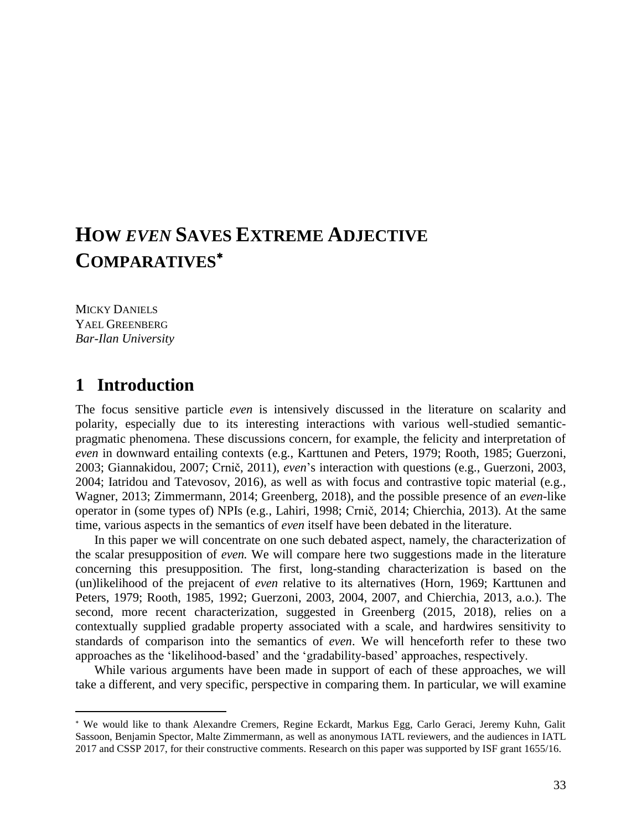# **HOW** *EVEN* **SAVES EXTREME ADJECTIVE COMPARATIVES**

MICKY DANIELS YAEL GREENBERG *Bar-Ilan University*

## **1** Introduction

 $\overline{a}$ 

The focus sensitive particle *even* is intensively discussed in the literature on scalarity and polarity, especially due to its interesting interactions with various well-studied semanticpragmatic phenomena. These discussions concern, for example, the felicity and interpretation of *even* in downward entailing contexts (e.g., Karttunen and Peters, 1979; Rooth, 1985; Guerzoni, 2003; Giannakidou, 2007; Crnič, 2011), *even*'s interaction with questions (e.g., Guerzoni, 2003, 2004; Iatridou and Tatevosov, 2016), as well as with focus and contrastive topic material (e.g., Wagner, 2013; Zimmermann, 2014; Greenberg, 2018), and the possible presence of an *even*-like operator in (some types of) NPIs (e.g., Lahiri, 1998; Crnič, 2014; Chierchia, 2013). At the same time, various aspects in the semantics of *even* itself have been debated in the literature.

In this paper we will concentrate on one such debated aspect, namely, the characterization of the scalar presupposition of *even.* We will compare here two suggestions made in the literature concerning this presupposition. The first, long-standing characterization is based on the (un)likelihood of the prejacent of *even* relative to its alternatives (Horn, 1969; Karttunen and Peters, 1979; Rooth, 1985, 1992; Guerzoni, 2003, 2004, 2007, and Chierchia, 2013, a.o.). The second, more recent characterization, suggested in Greenberg (2015, 2018), relies on a contextually supplied gradable property associated with a scale, and hardwires sensitivity to standards of comparison into the semantics of *even*. We will henceforth refer to these two approaches as the 'likelihood-based' and the 'gradability-based' approaches, respectively.

While various arguments have been made in support of each of these approaches, we will take a different, and very specific, perspective in comparing them. In particular, we will examine

We would like to thank Alexandre Cremers, Regine Eckardt, Markus Egg, Carlo Geraci, Jeremy Kuhn, Galit Sassoon, Benjamin Spector, Malte Zimmermann, as well as anonymous IATL reviewers, and the audiences in IATL 2017 and CSSP 2017, for their constructive comments. Research on this paper was supported by ISF grant 1655/16.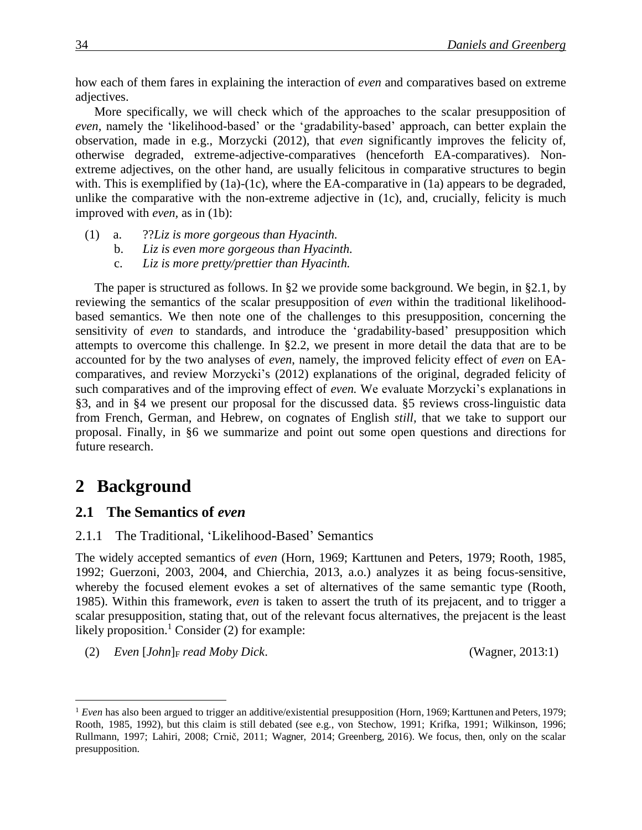how each of them fares in explaining the interaction of *even* and comparatives based on extreme adjectives.

More specifically, we will check which of the approaches to the scalar presupposition of *even,* namely the 'likelihood-based' or the 'gradability-based' approach, can better explain the observation, made in e.g., Morzycki (2012), that *even* significantly improves the felicity of, otherwise degraded, extreme-adjective-comparatives (henceforth EA-comparatives). Nonextreme adjectives, on the other hand, are usually felicitous in comparative structures to begin with. This is exemplified by (1a)-(1c), where the EA-comparative in (1a) appears to be degraded, unlike the comparative with the non-extreme adjective in (1c), and, crucially, felicity is much improved with *even,* as in (1b):

- (1) a. ??*Liz is more gorgeous than Hyacinth.*
	- b. *Liz is even more gorgeous than Hyacinth.*
	- c. *Liz is more pretty/prettier than Hyacinth.*

The paper is structured as follows. In §2 we provide some background. We begin, in §2.1, by reviewing the semantics of the scalar presupposition of *even* within the traditional likelihoodbased semantics. We then note one of the challenges to this presupposition, concerning the sensitivity of *even* to standards, and introduce the 'gradability-based' presupposition which attempts to overcome this challenge. In §2.2, we present in more detail the data that are to be accounted for by the two analyses of *even*, namely, the improved felicity effect of *even* on EAcomparatives, and review Morzycki's (2012) explanations of the original, degraded felicity of such comparatives and of the improving effect of *even.* We evaluate Morzycki's explanations in §3, and in §4 we present our proposal for the discussed data. §5 reviews cross-linguistic data from French, German, and Hebrew, on cognates of English *still,* that we take to support our proposal. Finally, in §6 we summarize and point out some open questions and directions for future research.

# 2 Background

 $\overline{a}$ 

### **2.1** The Semantics of *even*

### 2.1.1 The Traditional, 'Likelihood-Based' Semantics

The widely accepted semantics of *even* (Horn, 1969; Karttunen and Peters, 1979; Rooth, 1985, 1992; Guerzoni, 2003, 2004, and Chierchia, 2013, a.o.) analyzes it as being focus-sensitive, whereby the focused element evokes a set of alternatives of the same semantic type (Rooth, 1985). Within this framework, *even* is taken to assert the truth of its prejacent, and to trigger a scalar presupposition, stating that, out of the relevant focus alternatives, the prejacent is the least likely proposition.<sup>1</sup> Consider (2) for example:

(2) *Even* [*John*]<sup>F</sup> *read Moby Dick*. (Wagner, 2013:1)

<sup>&</sup>lt;sup>1</sup> *Even* has also been argued to trigger an additive/existential presupposition (Horn, 1969; Karttunen and Peters, 1979; Rooth, 1985, 1992), but this claim is still debated (see e.g., von Stechow, 1991; Krifka, 1991; Wilkinson, 1996; Rullmann, 1997; Lahiri, 2008; Crnič, 2011; Wagner, 2014; Greenberg, 2016). We focus, then, only on the scalar presupposition.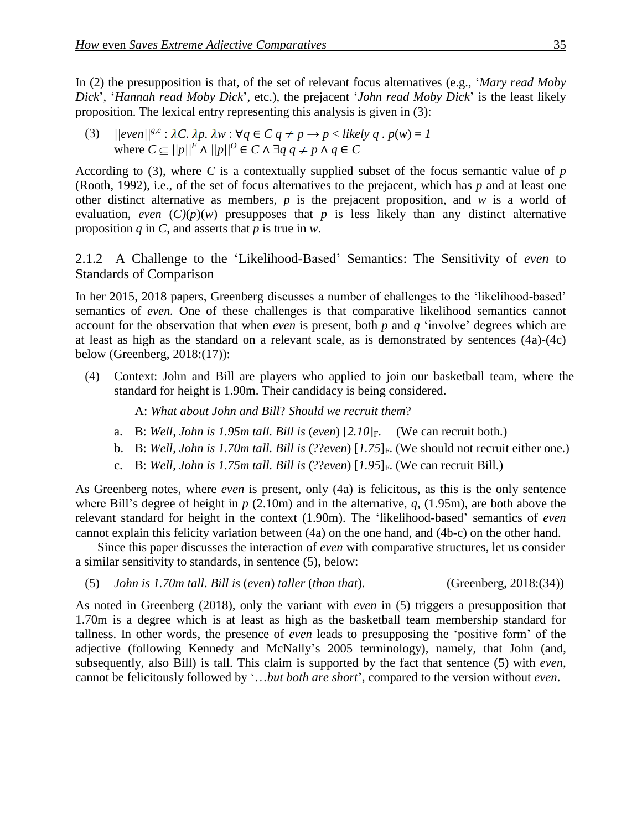In (2) the presupposition is that, of the set of relevant focus alternatives (e.g., '*Mary read Moby Dick*', '*Hannah read Moby Dick*', etc.), the prejacent '*John read Moby Dick*' is the least likely proposition. The lexical entry representing this analysis is given in (3):

(3)  $\|[\text{even}][^{\text{g.c}} : \lambda C, \lambda p, \lambda w : \forall q \in C \text{ } q \neq p \rightarrow p \leq \text{likely } q \cdot p(w) = 1\]$ where  $C \subseteq ||p||^F \wedge ||p||^O \in C \wedge \exists q \ q \neq p \wedge q \in C$ 

According to (3), where *C* is a contextually supplied subset of the focus semantic value of *p* (Rooth, 1992), i.e., of the set of focus alternatives to the prejacent, which has *p* and at least one other distinct alternative as members, *p* is the prejacent proposition, and *w* is a world of evaluation, *even*  $(C)(p)(w)$  presupposes that *p* is less likely than any distinct alternative proposition *q* in *C*, and asserts that *p* is true in *w*.

2.1.2xxA Challenge to the 'Likelihood-Based' Semantics: The Sensitivity of *even* to Standards of Comparison

In her 2015, 2018 papers, Greenberg discusses a number of challenges to the 'likelihood-based' semantics of *even.* One of these challenges is that comparative likelihood semantics cannot account for the observation that when *even* is present, both *p* and *q* 'involve' degrees which are at least as high as the standard on a relevant scale, as is demonstrated by sentences (4a)-(4c) below (Greenberg, 2018:(17)):

(4) Context: John and Bill are players who applied to join our basketball team, where the standard for height is 1.90m. Their candidacy is being considered.

A: *What about John and Bill*? *Should we recruit them*?

- a. B: *Well, John is 1.95m tall. Bill is* (*even*) [*2.10*]F. (We can recruit both.)
- b. B: *Well, John is 1.70m tall. Bill is* (??*even*) [1.75]<sub>F</sub>. (We should not recruit either one.)
- c. B: *Well, John is 1.75m tall. Bill is* (??*even*) [*1.95*]F. (We can recruit Bill.)

As Greenberg notes, where *even* is present, only (4a) is felicitous, as this is the only sentence where Bill's degree of height in *p* (2.10m) and in the alternative, *q*, (1.95m), are both above the relevant standard for height in the context (1.90m). The 'likelihood-based' semantics of *even*  cannot explain this felicity variation between (4a) on the one hand, and (4b-c) on the other hand.

Since this paper discusses the interaction of *even* with comparative structures, let us consider a similar sensitivity to standards, in sentence (5), below:

(5) *John is 1.70m tall*. *Bill is* (*even*) *taller* (*than that*). (Greenberg, 2018:(34))

As noted in Greenberg (2018), only the variant with *even* in (5) triggers a presupposition that 1.70m is a degree which is at least as high as the basketball team membership standard for tallness. In other words, the presence of *even* leads to presupposing the 'positive form' of the adjective (following Kennedy and McNally's 2005 terminology), namely, that John (and, subsequently, also Bill) is tall. This claim is supported by the fact that sentence (5) with *even*, cannot be felicitously followed by '…*but both are short*', compared to the version without *even*.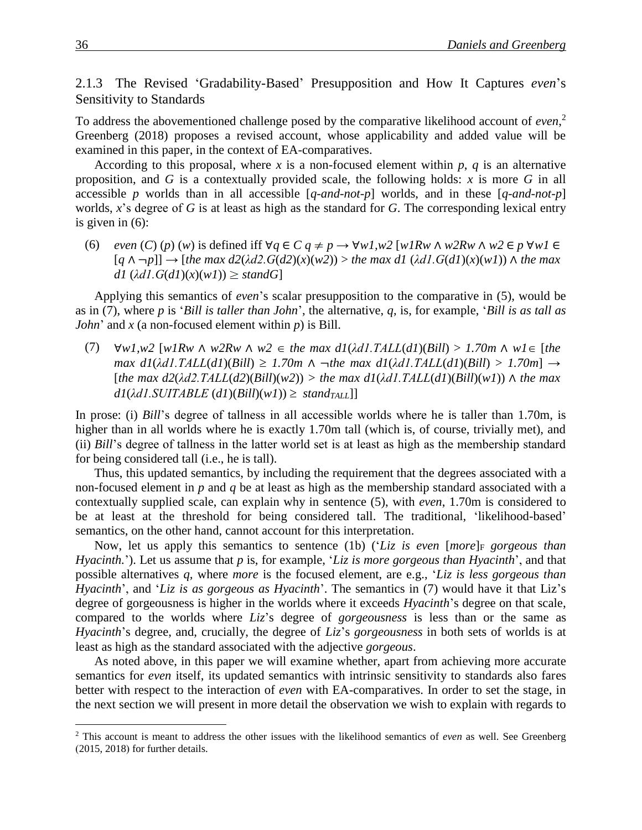2.1.3 The Revised 'Gradability-Based' Presupposition and How It Captures *even*'s Sensitivity to Standards

To address the abovementioned challenge posed by the comparative likelihood account of *even*, 2 Greenberg (2018) proposes a revised account, whose applicability and added value will be examined in this paper, in the context of EA-comparatives.

According to this proposal, where *x* is a non-focused element within  $p$ ,  $q$  is an alternative proposition, and *G* is a contextually provided scale, the following holds: *x* is more *G* in all accessible *p* worlds than in all accessible [*q-and-not-p*] worlds, and in these [*q-and-not-p*] worlds, *x*'s degree of *G* is at least as high as the standard for *G*. The corresponding lexical entry is given in (6):

(6) *even* (*C*) (*p*) (*w*) is defined iff  $\forall q \in C$   $q \neq p \rightarrow \forall wI, w2$  [*w1Rw*  $\land$  *w2Rw*  $\land w2 \in p \forall wI \in C$ [*q* ∧ ¬*p*]] → [*the max d2*(*λd2.G*(*d2*)(*x*)(*w2*)) > *the max d1* (*λd1.G*(*d1*)(*x*)(*w1*)) ∧ *the max*   $d1$   $(\lambda d1.G(d1)(x)(w1)) \geq standG$ 

Applying this semantics of *even*'s scalar presupposition to the comparative in (5), would be as in (7), where *p* is '*Bill is taller than John*', the alternative, *q*, is, for example, '*Bill is as tall as John*' and *x* (a non-focused element within  $p$ ) is Bill.

(7)  $\forall w \in I, w2$  [*w*  $\forall W \in \mathbb{R}$ *w*  $\land w2 \in \mathbb{R}$ *the max d1*( $\lambda$ *d1.TALL*(*d1*)(*Bill*) > 1.70*m*  $\land w1 \in [\text{the}]$ *max d1*( $\lambda$ *d1.TALL*(*d1*)( $B$ *ill*)  $\geq$  1.70*m*  $\land$   $\neg$ *the max d1*( $\lambda$ *d1.TALL*(*d1*)( $B$ *ill*)  $>$  1.70*m*]  $\rightarrow$  $[the \ max \ d2(\lambda d2.TALL(d2)(Bill)(w2)) > the \ max \ d1(\lambda d1.TALL(d1)(Bill)(w1)) \wedge the \ max$  $dI(\lambda dI.SUITABLE (dI)(Bill)(wI)) \geq standard$ 

In prose: (i) *Bill*'s degree of tallness in all accessible worlds where he is taller than 1.70m, is higher than in all worlds where he is exactly 1.70m tall (which is, of course, trivially met), and (ii) *Bill*'s degree of tallness in the latter world set is at least as high as the membership standard for being considered tall (i.e., he is tall).

Thus, this updated semantics, by including the requirement that the degrees associated with a non-focused element in *p* and *q* be at least as high as the membership standard associated with a contextually supplied scale, can explain why in sentence (5), with *even*, 1.70m is considered to be at least at the threshold for being considered tall. The traditional, 'likelihood-based' semantics, on the other hand, cannot account for this interpretation.

Now, let us apply this semantics to sentence (1b) ('*Liz is even [more*]<sub>F</sub> *gorgeous than Hyacinth.*'). Let us assume that *p* is, for example, '*Liz is more gorgeous than Hyacinth*', and that possible alternatives *q,* where *more* is the focused element, are e.g., '*Liz is less gorgeous than Hyacinth*', and '*Liz is as gorgeous as Hyacinth*'. The semantics in (7) would have it that Liz's degree of gorgeousness is higher in the worlds where it exceeds *Hyacinth*'s degree on that scale, compared to the worlds where *Liz*'s degree of *gorgeousness* is less than or the same as *Hyacinth*'s degree, and, crucially, the degree of *Liz*'s *gorgeousness* in both sets of worlds is at least as high as the standard associated with the adjective *gorgeous*.

As noted above, in this paper we will examine whether, apart from achieving more accurate semantics for *even* itself, its updated semantics with intrinsic sensitivity to standards also fares better with respect to the interaction of *even* with EA-comparatives. In order to set the stage, in the next section we will present in more detail the observation we wish to explain with regards to

<sup>2</sup> This account is meant to address the other issues with the likelihood semantics of *even* as well. See Greenberg  $(2015, 2018)$  for further details.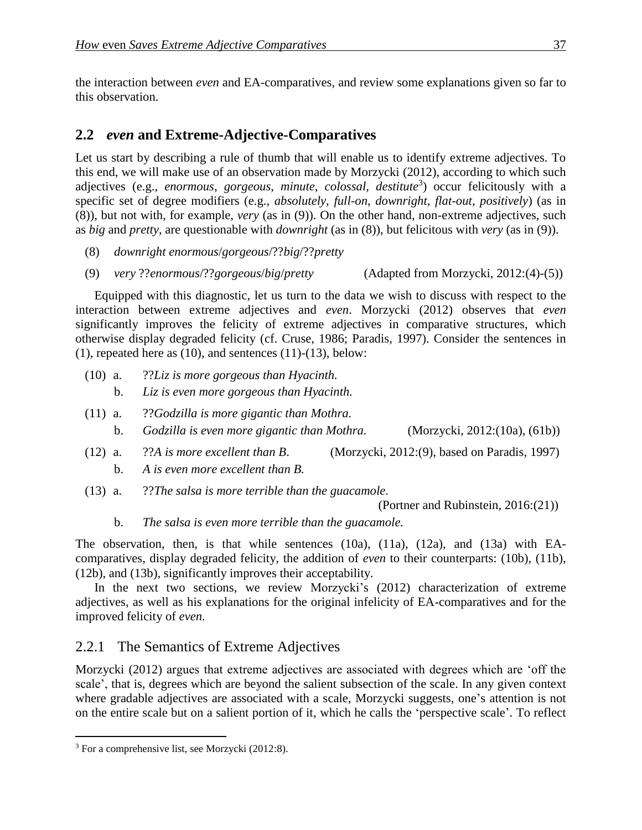the interaction between *even* and EA-comparatives, and review some explanations given so far to this observation.

### 2.2 *even* and Extreme-Adjective-Comparatives

Let us start by describing a rule of thumb that will enable us to identify extreme adjectives. To this end, we will make use of an observation made by Morzycki (2012), according to which such adjectives (e.g., *enormous*, *gorgeous*, *minute*, *colossal*, *destitute*<sup>3</sup> ) occur felicitously with a specific set of degree modifiers (e.g., *absolutely*, *full-on*, *downright*, *flat-out*, *positively*) (as in (8)), but not with, for example, *very* (as in (9)). On the other hand, non-extreme adjectives, such as *big* and *pretty*, are questionable with *downright* (as in (8)), but felicitous with *very* (as in (9)).

- (8) *downright enormous*/*gorgeous*/??*big*/??*pretty*
- (9) *very* ??*enormous*/??*gorgeous*/*big*/*pretty* (Adapted from Morzycki, 2012:(4)-(5))

Equipped with this diagnostic, let us turn to the data we wish to discuss with respect to the interaction between extreme adjectives and *even*. Morzycki (2012) observes that *even*  significantly improves the felicity of extreme adjectives in comparative structures, which otherwise display degraded felicity (cf. Cruse, 1986; Paradis, 1997). Consider the sentences in  $(1)$ , repeated here as  $(10)$ , and sentences  $(11)-(13)$ , below:

- (10) a. ??*Liz is more gorgeous than Hyacinth.* b. *Liz is even more gorgeous than Hyacinth.*
- (11) a. ??*Godzilla is more gigantic than Mothra.* b. *Godzilla is even more gigantic than Mothra.* (Morzycki, 2012:(10a), (61b))
- (12) a. ??*A is more excellent than B*. (Morzycki, 2012:(9), based on Paradis, 1997) b. *A is even more excellent than B.*
- (13) a. ??*The salsa is more terrible than the guacamole*.

(Portner and Rubinstein, 2016:(21))

b. *The salsa is even more terrible than the guacamole.*

The observation, then, is that while sentences (10a), (11a), (12a), and (13a) with EAcomparatives, display degraded felicity, the addition of *even* to their counterparts: (10b), (11b), (12b), and (13b), significantly improves their acceptability.

In the next two sections, we review Morzycki's (2012) characterization of extreme adjectives, as well as his explanations for the original infelicity of EA-comparatives and for the improved felicity of *even.*

## 2.2.1 The Semantics of Extreme Adjectives

Morzycki (2012) argues that extreme adjectives are associated with degrees which are 'off the scale', that is, degrees which are beyond the salient subsection of the scale. In any given context where gradable adjectives are associated with a scale, Morzycki suggests, one's attention is not on the entire scale but on a salient portion of it, which he calls the 'perspective scale'. To reflect

<sup>3</sup> For a comprehensive list, see Morzycki (2012:8).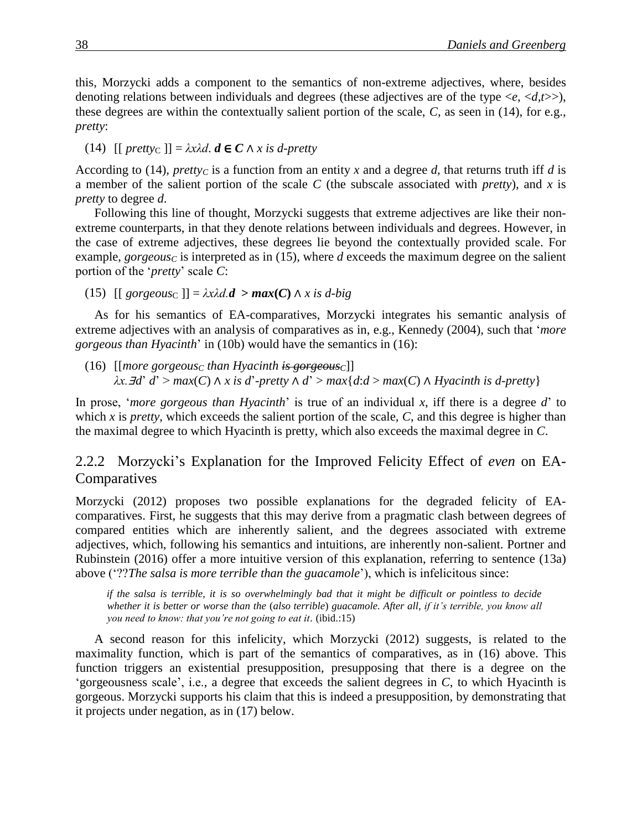this, Morzycki adds a component to the semantics of non-extreme adjectives, where, besides denoting relations between individuals and degrees (these adjectives are of the type <*e*, <*d,t*>>), these degrees are within the contextually salient portion of the scale, *C*, as seen in (14), for e.g., *pretty*:

(14)  $[[$  *prettyc*  $]] = \lambda x \lambda d$ .  $d \in C \wedge x$  *is d-pretty* 

According to (14), *prettyc* is a function from an entity x and a degree d, that returns truth iff d is a member of the salient portion of the scale *C* (the subscale associated with *pretty*), and *x* is *pretty* to degree *d*.

Following this line of thought, Morzycki suggests that extreme adjectives are like their nonextreme counterparts, in that they denote relations between individuals and degrees. However, in the case of extreme adjectives, these degrees lie beyond the contextually provided scale. For example, *gorgeousc* is interpreted as in (15), where *d* exceeds the maximum degree on the salient portion of the '*pretty*' scale *C*:

(15) [[ *gorgeous*<sup>C</sup> ]] = *λxλd.d* **>** *max***(***C***)** ∧ *x is d-big*

As for his semantics of EA-comparatives, Morzycki integrates his semantic analysis of extreme adjectives with an analysis of comparatives as in, e.g., Kennedy (2004), such that '*more gorgeous than Hyacinth*' in (10b) would have the semantics in (16):

(16)  $\text{[|more groups]}$  *(nore gorgeous<sub>C</sub> than Hyacinth is gorgeous*<sup>*C*</sup>]] *λx.*∃*d*' *d*' > *max*(*C*) ∧ *x is d*'-*pretty* ∧ *d*' > *max*{*d*:*d* > *max*(*C*) ∧ *Hyacinth is d-pretty*}

In prose, '*more gorgeous than Hyacinth*' is true of an individual *x*, iff there is a degree *d*' to which  $\bar{x}$  is *pretty*, which exceeds the salient portion of the scale,  $\bar{C}$ , and this degree is higher than the maximal degree to which Hyacinth is pretty, which also exceeds the maximal degree in *C*.

2.2.2 Morzycki's Explanation for the Improved Felicity Effect of *even* on EA-Comparatives

Morzycki (2012) proposes two possible explanations for the degraded felicity of EAcomparatives. First, he suggests that this may derive from a pragmatic clash between degrees of compared entities which are inherently salient, and the degrees associated with extreme adjectives, which, following his semantics and intuitions, are inherently non-salient. Portner and Rubinstein (2016) offer a more intuitive version of this explanation, referring to sentence (13a) above ('??*The salsa is more terrible than the guacamole*'), which is infelicitous since:

*if the salsa is terrible, it is so overwhelmingly bad that it might be difficult or pointless to decide whether it is better or worse than the* (*also terrible*) *guacamole. After all, if it's terrible, you know all you need to know: that you're not going to eat it*. (ibid.:15)

A second reason for this infelicity, which Morzycki (2012) suggests, is related to the maximality function, which is part of the semantics of comparatives, as in (16) above. This function triggers an existential presupposition, presupposing that there is a degree on the 'gorgeousness scale', i.e., a degree that exceeds the salient degrees in *C*, to which Hyacinth is gorgeous. Morzycki supports his claim that this is indeed a presupposition, by demonstrating that it projects under negation, as in (17) below.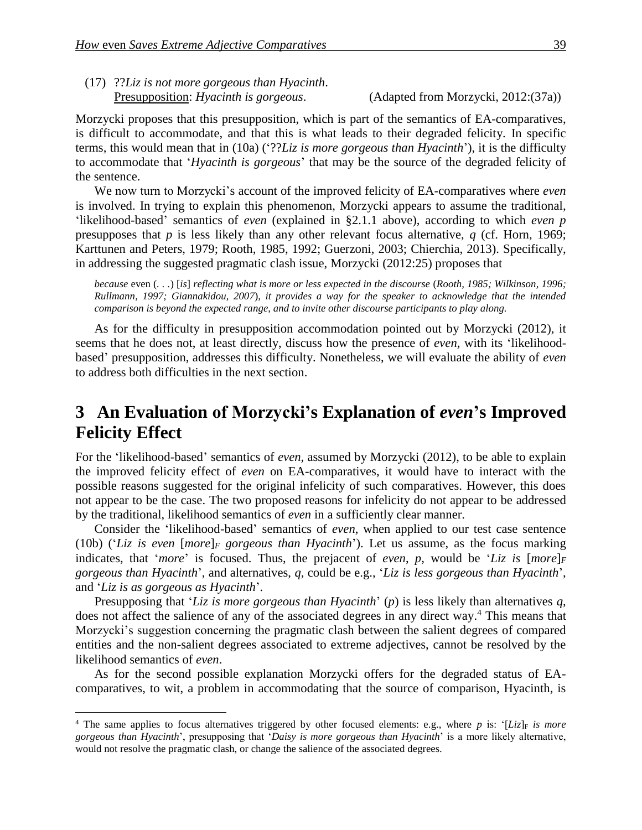(17) ??*Liz is not more gorgeous than Hyacinth*. Presupposition: *Hyacinth is gorgeous*. (Adapted from Morzycki, 2012:(37a))

Morzycki proposes that this presupposition, which is part of the semantics of EA-comparatives, is difficult to accommodate, and that this is what leads to their degraded felicity. In specific terms, this would mean that in (10a) ('??*Liz is more gorgeous than Hyacinth*'), it is the difficulty to accommodate that '*Hyacinth is gorgeous*' that may be the source of the degraded felicity of the sentence.

We now turn to Morzycki's account of the improved felicity of EA-comparatives where *even*  is involved. In trying to explain this phenomenon, Morzycki appears to assume the traditional, 'likelihood-based' semantics of *even* (explained in §2.1.1 above), according to which *even p* presupposes that *p* is less likely than any other relevant focus alternative, *q* (cf. Horn, 1969; Karttunen and Peters, 1979; Rooth, 1985, 1992; Guerzoni, 2003; Chierchia, 2013). Specifically, in addressing the suggested pragmatic clash issue, Morzycki (2012:25) proposes that

*because* even (*. . .*) [*is*] *reflecting what is more or less expected in the discourse* (*Rooth, 1985; Wilkinson, 1996; Rullmann, 1997; Giannakidou, 2007*)*, it provides a way for the speaker to acknowledge that the intended comparison is beyond the expected range, and to invite other discourse participants to play along.* 

As for the difficulty in presupposition accommodation pointed out by Morzycki (2012), it seems that he does not, at least directly, discuss how the presence of *even,* with its 'likelihoodbased' presupposition, addresses this difficulty. Nonetheless, we will evaluate the ability of *even*  to address both difficulties in the next section.

## **3**xx**An Evaluation of Morzycki's Explanation of** *even***'s Improved Felicity Effect**

For the 'likelihood-based' semantics of *even,* assumed by Morzycki (2012), to be able to explain the improved felicity effect of *even* on EA-comparatives, it would have to interact with the possible reasons suggested for the original infelicity of such comparatives. However, this does not appear to be the case. The two proposed reasons for infelicity do not appear to be addressed by the traditional, likelihood semantics of *even* in a sufficiently clear manner.

Consider the 'likelihood-based' semantics of *even*, when applied to our test case sentence (10b) ('*Liz is even* [*more*]*<sup>F</sup> gorgeous than Hyacinth*'). Let us assume, as the focus marking indicates, that '*more*' is focused. Thus, the prejacent of *even*, *p*, would be '*Liz is* [*more*]*<sup>F</sup> gorgeous than Hyacinth*', and alternatives, *q*, could be e.g., '*Liz is less gorgeous than Hyacinth*', and '*Liz is as gorgeous as Hyacinth*'.

Presupposing that '*Liz is more gorgeous than Hyacinth*' (*p*) is less likely than alternatives *q*, does not affect the salience of any of the associated degrees in any direct way. <sup>4</sup> This means that Morzycki's suggestion concerning the pragmatic clash between the salient degrees of compared entities and the non-salient degrees associated to extreme adjectives, cannot be resolved by the likelihood semantics of *even*.

As for the second possible explanation Morzycki offers for the degraded status of EAcomparatives, to wit, a problem in accommodating that the source of comparison, Hyacinth, is

<sup>&</sup>lt;sup>4</sup> The same applies to focus alternatives triggered by other focused elements: e.g., where *p* is: '[*Liz*]<sub>F</sub> *is more gorgeous than Hyacinth*', presupposing that '*Daisy is more gorgeous than Hyacinth*' is a more likely alternative, would not resolve the pragmatic clash, or change the salience of the associated degrees.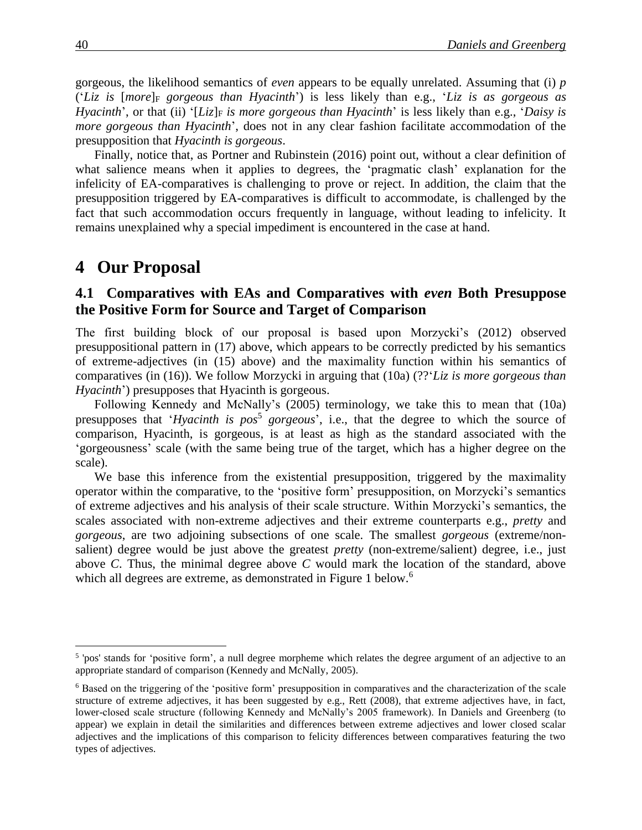gorgeous, the likelihood semantics of *even* appears to be equally unrelated. Assuming that (i) *p*  $'(Liz \text{ is } [more]_F$  *gorgeous than Hyacinth*') is less likely than e.g., '*Liz is as gorgeous as Hyacinth*', or that (ii) '[*Liz*]<sub>F</sub> *is more gorgeous than Hyacinth*' is less likely than e.g., '*Daisy is more gorgeous than Hyacinth*', does not in any clear fashion facilitate accommodation of the presupposition that *Hyacinth is gorgeous*.

Finally, notice that, as Portner and Rubinstein (2016) point out, without a clear definition of what salience means when it applies to degrees, the 'pragmatic clash' explanation for the infelicity of EA-comparatives is challenging to prove or reject. In addition, the claim that the presupposition triggered by EA-comparatives is difficult to accommodate, is challenged by the fact that such accommodation occurs frequently in language, without leading to infelicity. It remains unexplained why a special impediment is encountered in the case at hand.

## 4 Our Proposal

### **4.1 Comparatives with EAs and Comparatives with** *even* **Both Presuppose the Positive Form for Source and Target of Comparison**

The first building block of our proposal is based upon Morzycki's (2012) observed presuppositional pattern in (17) above, which appears to be correctly predicted by his semantics of extreme-adjectives (in (15) above) and the maximality function within his semantics of comparatives (in (16)). We follow Morzycki in arguing that (10a) (??'*Liz is more gorgeous than Hyacinth*') presupposes that Hyacinth is gorgeous.

Following Kennedy and McNally's (2005) terminology, we take this to mean that (10a) presupposes that '*Hyacinth is pos*<sup>5</sup> gorgeous', i.e., that the degree to which the source of comparison, Hyacinth, is gorgeous, is at least as high as the standard associated with the 'gorgeousness' scale (with the same being true of the target, which has a higher degree on the scale).

We base this inference from the existential presupposition, triggered by the maximality operator within the comparative, to the 'positive form' presupposition, on Morzycki's semantics of extreme adjectives and his analysis of their scale structure. Within Morzycki's semantics, the scales associated with non-extreme adjectives and their extreme counterparts e.g., *pretty* and *gorgeous*, are two adjoining subsections of one scale. The smallest *gorgeous* (extreme/nonsalient) degree would be just above the greatest *pretty* (non-extreme/salient) degree, i.e., just above *C*. Thus, the minimal degree above *C* would mark the location of the standard, above which all degrees are extreme, as demonstrated in Figure 1 below.<sup>6</sup>

<sup>&</sup>lt;sup>5</sup> 'pos' stands for 'positive form', a null degree morpheme which relates the degree argument of an adjective to an appropriate standard of comparison (Kennedy and McNally, 2005).

<sup>6</sup> Based on the triggering of the 'positive form' presupposition in comparatives and the characterization of the scale structure of extreme adjectives, it has been suggested by e.g., Rett (2008), that extreme adjectives have, in fact, lower-closed scale structure (following Kennedy and McNally's 2005 framework). In Daniels and Greenberg (to appear) we explain in detail the similarities and differences between extreme adjectives and lower closed scalar adjectives and the implications of this comparison to felicity differences between comparatives featuring the two types of adjectives.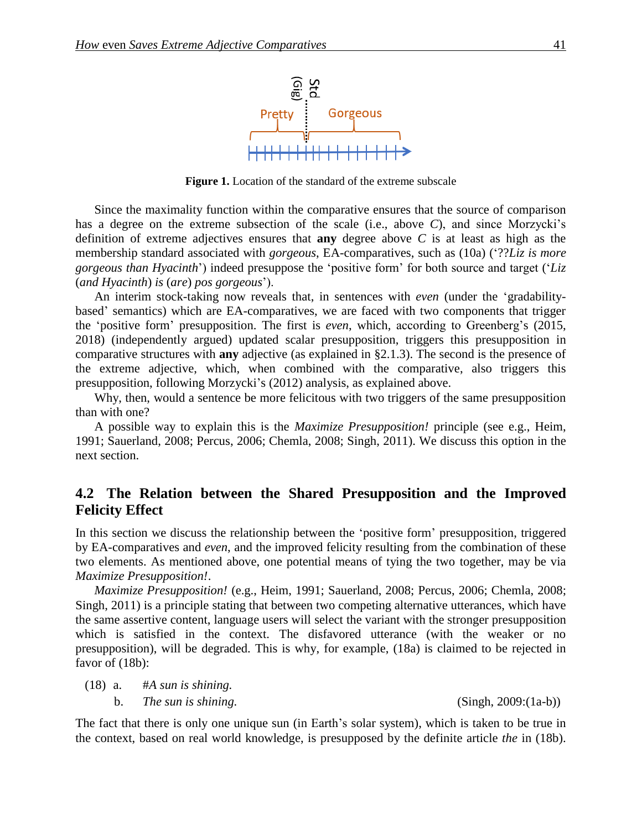

**Figure 1.** Location of the standard of the extreme subscale

Since the maximality function within the comparative ensures that the source of comparison has a degree on the extreme subsection of the scale (i.e., above *C*), and since Morzycki's definition of extreme adjectives ensures that **any** degree above *C* is at least as high as the membership standard associated with *gorgeous*, EA-comparatives, such as (10a) ('??*Liz is more gorgeous than Hyacinth*') indeed presuppose the 'positive form' for both source and target ('*Liz* (*and Hyacinth*) *is* (*are*) *pos gorgeous*').

An interim stock-taking now reveals that, in sentences with *even* (under the 'gradabilitybased' semantics) which are EA-comparatives, we are faced with two components that trigger the 'positive form' presupposition. The first is *even*, which, according to Greenberg's (2015, 2018) (independently argued) updated scalar presupposition, triggers this presupposition in comparative structures with **any** adjective (as explained in §2.1.3). The second is the presence of the extreme adjective, which, when combined with the comparative, also triggers this presupposition, following Morzycki's (2012) analysis, as explained above.

Why, then, would a sentence be more felicitous with two triggers of the same presupposition than with one?

A possible way to explain this is the *Maximize Presupposition!* principle (see e.g., Heim, 1991; Sauerland, 2008; Percus, 2006; Chemla, 2008; Singh, 2011). We discuss this option in the next section.

### **4.2 The Relation between the Shared Presupposition and the Improved Felicity Effect**

In this section we discuss the relationship between the 'positive form' presupposition, triggered by EA-comparatives and *even*, and the improved felicity resulting from the combination of these two elements. As mentioned above, one potential means of tying the two together, may be via *Maximize Presupposition!*.

*Maximize Presupposition!* (e.g., Heim, 1991; Sauerland, 2008; Percus, 2006; Chemla, 2008; Singh, 2011) is a principle stating that between two competing alternative utterances, which have the same assertive content, language users will select the variant with the stronger presupposition which is satisfied in the context. The disfavored utterance (with the weaker or no presupposition), will be degraded. This is why, for example, (18a) is claimed to be rejected in favor of  $(18b)$ :

- (18) a. #*A sun is shining.*
	- b. *The sun is shining.* (Singh, 2009:(1a-b))

The fact that there is only one unique sun (in Earth's solar system), which is taken to be true in the context, based on real world knowledge, is presupposed by the definite article *the* in (18b).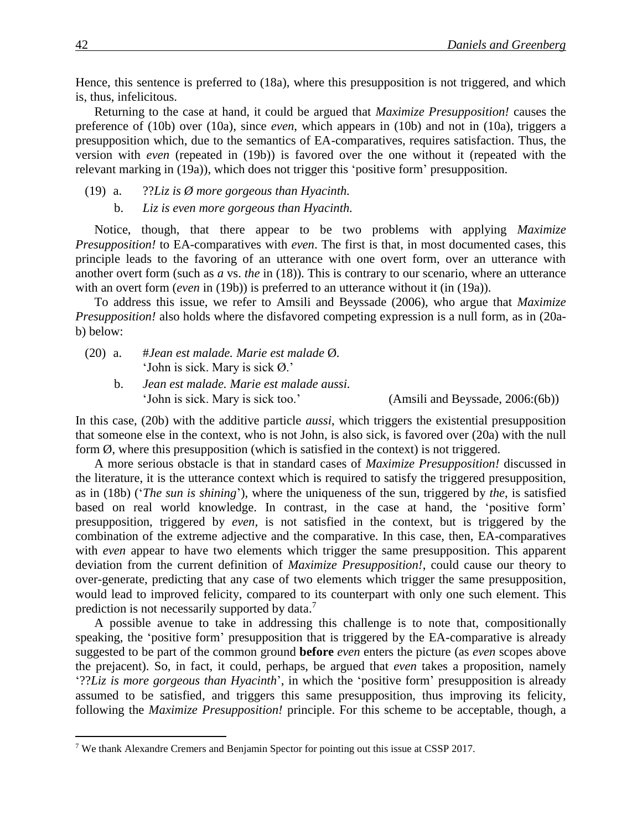Hence, this sentence is preferred to (18a), where this presupposition is not triggered, and which is, thus, infelicitous.

Returning to the case at hand, it could be argued that *Maximize Presupposition!* causes the preference of (10b) over (10a), since *even*, which appears in (10b) and not in (10a), triggers a presupposition which, due to the semantics of EA-comparatives, requires satisfaction. Thus, the version with *even* (repeated in (19b)) is favored over the one without it (repeated with the relevant marking in (19a)), which does not trigger this 'positive form' presupposition.

#### (19) a. ??*Liz is Ø more gorgeous than Hyacinth.* b. *Liz is even more gorgeous than Hyacinth.*

Notice, though, that there appear to be two problems with applying *Maximize Presupposition!* to EA-comparatives with *even*. The first is that, in most documented cases, this principle leads to the favoring of an utterance with one overt form, over an utterance with another overt form (such as *a* vs. *the* in (18)). This is contrary to our scenario, where an utterance with an overt form *(even* in (19b)) is preferred to an utterance without it (in (19a)).

To address this issue, we refer to Amsili and Beyssade (2006), who argue that *Maximize Presupposition!* also holds where the disfavored competing expression is a null form, as in (20ab) below:

- (20) a. #*Jean est malade. Marie est malade* Ø*.* 'John is sick. Mary is sick Ø.'
	- b. *Jean est malade. Marie est malade aussi.* 'John is sick. Mary is sick too.' (Amsili and Beyssade, 2006:(6b))

In this case, (20b) with the additive particle *aussi*, which triggers the existential presupposition that someone else in the context, who is not John, is also sick, is favored over (20a) with the null form  $\emptyset$ , where this presupposition (which is satisfied in the context) is not triggered.

A more serious obstacle is that in standard cases of *Maximize Presupposition!* discussed in the literature, it is the utterance context which is required to satisfy the triggered presupposition, as in (18b) ('*The sun is shining*'), where the uniqueness of the sun, triggered by *the*, is satisfied based on real world knowledge. In contrast, in the case at hand, the 'positive form' presupposition, triggered by *even,* is not satisfied in the context, but is triggered by the combination of the extreme adjective and the comparative. In this case, then, EA-comparatives with *even* appear to have two elements which trigger the same presupposition. This apparent deviation from the current definition of *Maximize Presupposition!*, could cause our theory to over-generate, predicting that any case of two elements which trigger the same presupposition, would lead to improved felicity, compared to its counterpart with only one such element. This prediction is not necessarily supported by data.<sup>7</sup>

A possible avenue to take in addressing this challenge is to note that, compositionally speaking, the 'positive form' presupposition that is triggered by the EA-comparative is already suggested to be part of the common ground **before** *even* enters the picture (as *even* scopes above the prejacent). So, in fact, it could, perhaps, be argued that *even* takes a proposition, namely '??*Liz is more gorgeous than Hyacinth*', in which the 'positive form' presupposition is already assumed to be satisfied, and triggers this same presupposition, thus improving its felicity, following the *Maximize Presupposition!* principle. For this scheme to be acceptable, though, a

<sup>7</sup> We thank Alexandre Cremers and Benjamin Spector for pointing out this issue at CSSP 2017.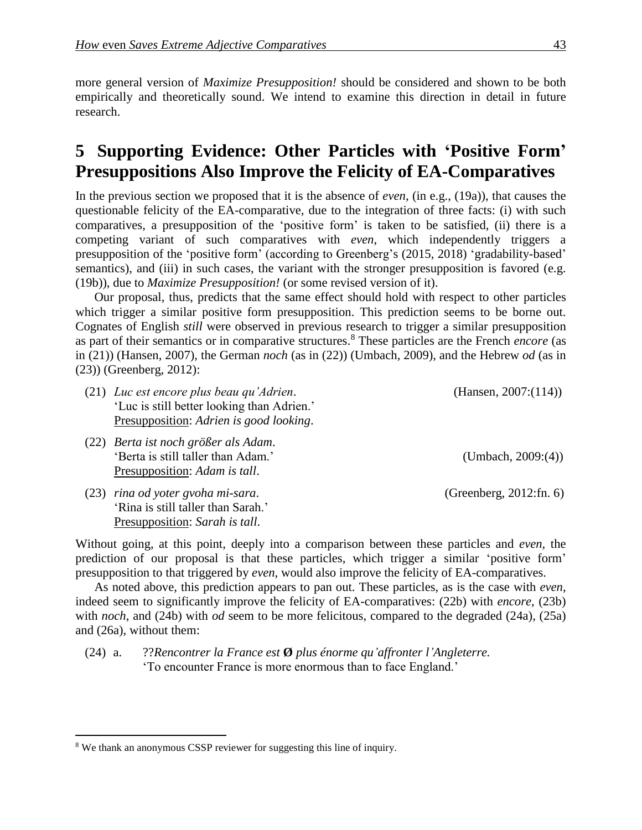more general version of *Maximize Presupposition!* should be considered and shown to be both empirically and theoretically sound. We intend to examine this direction in detail in future research.

# **5** Supporting Evidence: Other Particles with 'Positive Form' **Presuppositions Also Improve the Felicity of EA-Comparatives**

In the previous section we proposed that it is the absence of *even*, (in e.g., (19a)), that causes the questionable felicity of the EA-comparative, due to the integration of three facts: (i) with such comparatives, a presupposition of the 'positive form' is taken to be satisfied, (ii) there is a competing variant of such comparatives with *even*, which independently triggers a presupposition of the 'positive form' (according to Greenberg's (2015, 2018) 'gradability-based' semantics), and (iii) in such cases, the variant with the stronger presupposition is favored (e.g. (19b)), due to *Maximize Presupposition!* (or some revised version of it).

Our proposal, thus, predicts that the same effect should hold with respect to other particles which trigger a similar positive form presupposition. This prediction seems to be borne out. Cognates of English *still* were observed in previous research to trigger a similar presupposition as part of their semantics or in comparative structures. <sup>8</sup> These particles are the French *encore* (as in (21)) (Hansen, 2007), the German *noch* (as in (22)) (Umbach, 2009), and the Hebrew *od* (as in (23)) (Greenberg, 2012):

- (21) *Luc est encore plus beau qu'Adrien*. (Hansen, 2007:(114)) 'Luc is still better looking than Adrien.' Presupposition: *Adrien is good looking*.
- (22) *Berta ist noch größer als Adam*. 'Berta is still taller than Adam.' (Umbach, 2009:(4)) Presupposition: *Adam is tall*.
- (23) *rina od yoter gvoha mi-sara*. (Greenberg, 2012:fn. 6) 'Rina is still taller than Sarah.' Presupposition: *Sarah is tall*.

 $\overline{a}$ 

Without going, at this point, deeply into a comparison between these particles and *even*, the prediction of our proposal is that these particles, which trigger a similar 'positive form' presupposition to that triggered by *even*, would also improve the felicity of EA-comparatives.

As noted above, this prediction appears to pan out. These particles, as is the case with *even*, indeed seem to significantly improve the felicity of EA-comparatives: (22b) with *encore*, (23b) with *noch*, and (24b) with *od* seem to be more felicitous, compared to the degraded (24a), (25a) and (26a), without them:

(24) a. ??*Rencontrer la France est* **Ø** *plus énorme qu'affronter l'Angleterre.* 'To encounter France is more enormous than to face England.'

<sup>&</sup>lt;sup>8</sup> We thank an anonymous CSSP reviewer for suggesting this line of inquiry.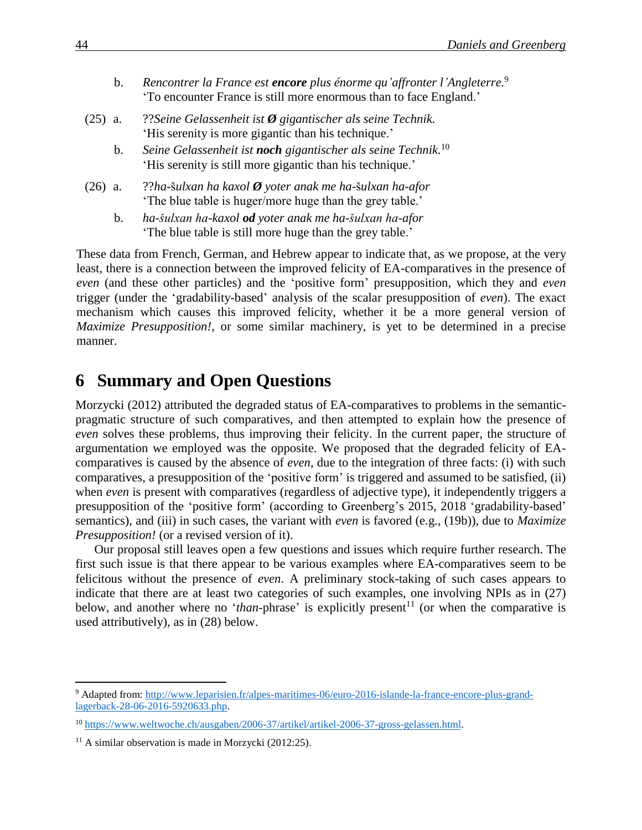- b. *Rencontrer la France est encore plus énorme qu'affronter l'Angleterre.* 9 'To encounter France is still more enormous than to face England.'
- (25) a. ??*Seine Gelassenheit ist Ø gigantischer als seine Technik.* 'His serenity is more gigantic than his technique.'
	- b. *Seine Gelassenheit ist noch gigantischer als seine Technik.* 10 'His serenity is still more gigantic than his technique.'
- (26) a. ??*ha-*š*ulxan ha kaxol Ø yoter anak me ha-*š*ulxan ha-afor* 'The blue table is huger/more huge than the grey table.'
	- b. *ha-šulxan ha-kaxol od yoter anak me ha-šulxan ha-afor* 'The blue table is still more huge than the grey table.'

These data from French, German, and Hebrew appear to indicate that, as we propose, at the very least, there is a connection between the improved felicity of EA-comparatives in the presence of *even* (and these other particles) and the 'positive form' presupposition, which they and *even* trigger (under the 'gradability-based' analysis of the scalar presupposition of *even*). The exact mechanism which causes this improved felicity, whether it be a more general version of *Maximize Presupposition!*, or some similar machinery, is yet to be determined in a precise manner.

## **6** Summary and Open Questions

Morzycki (2012) attributed the degraded status of EA-comparatives to problems in the semanticpragmatic structure of such comparatives, and then attempted to explain how the presence of *even* solves these problems, thus improving their felicity. In the current paper, the structure of argumentation we employed was the opposite. We proposed that the degraded felicity of EAcomparatives is caused by the absence of *even*, due to the integration of three facts: (i) with such comparatives, a presupposition of the 'positive form' is triggered and assumed to be satisfied, (ii) when *even* is present with comparatives (regardless of adjective type), it independently triggers a presupposition of the 'positive form' (according to Greenberg's 2015, 2018 'gradability-based' semantics), and (iii) in such cases, the variant with *even* is favored (e.g., (19b)), due to *Maximize Presupposition!* (or a revised version of it).

Our proposal still leaves open a few questions and issues which require further research. The first such issue is that there appear to be various examples where EA-comparatives seem to be felicitous without the presence of *even*. A preliminary stock-taking of such cases appears to indicate that there are at least two categories of such examples, one involving NPIs as in (27) below, and another where no '*than*-phrase' is explicitly present<sup>11</sup> (or when the comparative is used attributively), as in (28) below.

<sup>&</sup>lt;sup>9</sup> Adapted from: [http://www.leparisien.fr/alpes-maritimes-06/euro-2016-islande-la-france-encore-plus-grand](http://www.leparisien.fr/alpes-maritimes-06/euro-2016-islande-la-france-encore-plus-grand-lagerback-28-06-2016-5920633.php)[lagerback-28-06-2016-5920633.php.](http://www.leparisien.fr/alpes-maritimes-06/euro-2016-islande-la-france-encore-plus-grand-lagerback-28-06-2016-5920633.php)

<sup>10</sup> [https://www.weltwoche.ch/ausgaben/2006-37/artikel/artikel-2006-37-gross-gelassen.html.](https://www.weltwoche.ch/ausgaben/2006-37/artikel/artikel-2006-37-gross-gelassen.html)

 $11$  A similar observation is made in Morzycki (2012:25).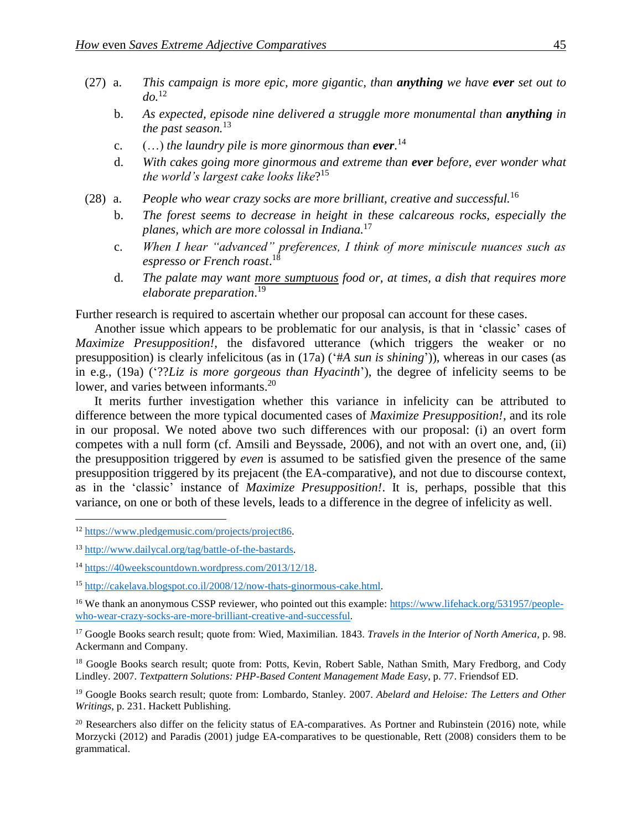- (27) a. *This campaign is more epic, more gigantic, than anything we have ever set out to do.*<sup>12</sup>
	- b. *As expected, episode nine delivered a struggle more monumental than anything in the past season.*<sup>13</sup>
	- c. (…) *the laundry pile is more ginormous than ever*. 14
	- d. *With cakes going more ginormous and extreme than ever before, ever wonder what the world's largest cake looks like*? 15
- (28) a. *People who wear crazy socks are more brilliant, creative and successful.*<sup>16</sup>
	- b. *The forest seems to decrease in height in these calcareous rocks, especially the planes, which are more colossal in Indiana.* 17
	- c. *When I hear "advanced" preferences, I think of more miniscule nuances such as espresso or French roast*. 18
	- d. *The palate may want more sumptuous food or, at times, a dish that requires more elaborate preparation*. 19

Further research is required to ascertain whether our proposal can account for these cases.

Another issue which appears to be problematic for our analysis, is that in 'classic' cases of *Maximize Presupposition!*, the disfavored utterance (which triggers the weaker or no presupposition) is clearly infelicitous (as in (17a) ('#*A sun is shining*')), whereas in our cases (as in e.g., (19a) ('??*Liz is more gorgeous than Hyacinth*'), the degree of infelicity seems to be lower, and varies between informants.<sup>20</sup>

It merits further investigation whether this variance in infelicity can be attributed to difference between the more typical documented cases of *Maximize Presupposition!*, and its role in our proposal. We noted above two such differences with our proposal: (i) an overt form competes with a null form (cf. Amsili and Beyssade, 2006), and not with an overt one, and, (ii) the presupposition triggered by *even* is assumed to be satisfied given the presence of the same presupposition triggered by its prejacent (the EA-comparative), and not due to discourse context, as in the 'classic' instance of *Maximize Presupposition!*. It is, perhaps, possible that this variance, on one or both of these levels, leads to a difference in the degree of infelicity as well.

 $\overline{a}$ 

<sup>17</sup> Google Books search result; quote from: Wied, Maximilian. 1843. *Travels in the Interior of North America*, p. 98. Ackermann and Company.

<sup>18</sup> Google Books search result; quote from: Potts, Kevin, Robert Sable, Nathan Smith, Mary Fredborg, and Cody Lindley. 2007. *Textpattern Solutions: PHP-Based Content Management Made Easy*, p. 77. Friendsof ED.

<sup>19</sup> Google Books search result; quote from: Lombardo, Stanley. 2007. *Abelard and Heloise: The Letters and Other Writings*, p. 231. Hackett Publishing.

 $20$  Researchers also differ on the felicity status of EA-comparatives. As Portner and Rubinstein (2016) note, while Morzycki (2012) and Paradis (2001) judge EA-comparatives to be questionable, Rett (2008) considers them to be grammatical.

<sup>&</sup>lt;sup>12</sup> [https://www.pledgemusic.com/projects/project86.](https://www.pledgemusic.com/projects/project86)

<sup>13</sup> [http://www.dailycal.org/tag/battle-of-the-bastards.](http://www.dailycal.org/tag/battle-of-the-bastards)

<sup>14</sup> [https://40weekscountdown.wordpress.com/2013/12/18.](https://40weekscountdown.wordpress.com/2013/12/18)

<sup>15</sup> [http://cakelava.blogspot.co.il/2008/12/now-thats-ginormous-cake.html.](http://cakelava.blogspot.co.il/2008/12/now-thats-ginormous-cake.html)

<sup>&</sup>lt;sup>16</sup> We thank an anonymous CSSP reviewer, who pointed out this example: [https://www.lifehack.org/531957/people](https://www.lifehack.org/531957/people-who-wear-crazy-socks-are-more-brilliant-creative-and-successful)[who-wear-crazy-socks-are-more-brilliant-creative-and-successful.](https://www.lifehack.org/531957/people-who-wear-crazy-socks-are-more-brilliant-creative-and-successful)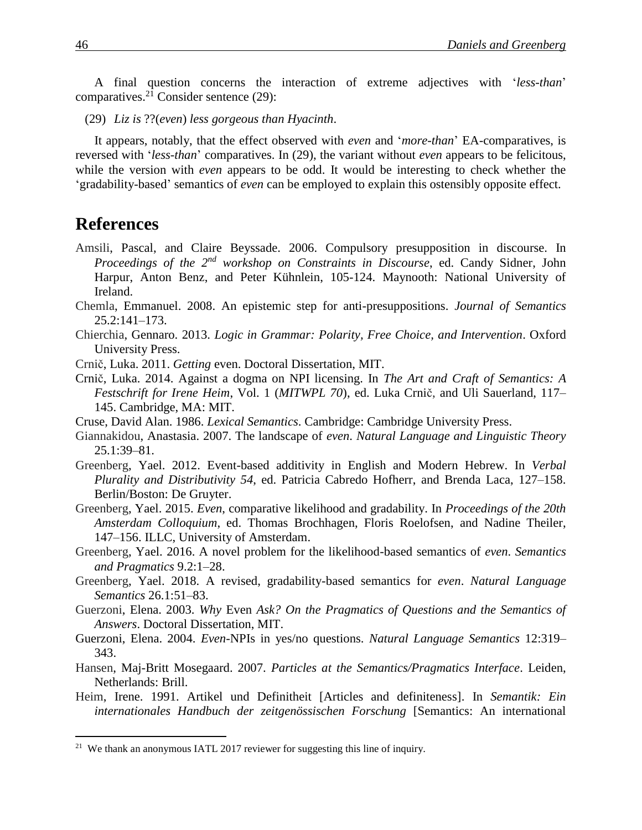A final question concerns the interaction of extreme adjectives with '*less-than*' comparatives.<sup>21</sup> Consider sentence (29):

(29) *Liz is* ??(*even*) *less gorgeous than Hyacinth*.

It appears, notably, that the effect observed with *even* and '*more-than*' EA-comparatives, is reversed with '*less-than*' comparatives. In (29), the variant without *even* appears to be felicitous, while the version with *even* appears to be odd. It would be interesting to check whether the 'gradability-based' semantics of *even* can be employed to explain this ostensibly opposite effect.

## **References**

- Amsili, Pascal, and Claire Beyssade. 2006. Compulsory presupposition in discourse. In *Proceedings of the 2nd workshop on Constraints in Discourse*, ed. Candy Sidner, John Harpur, Anton Benz, and Peter Kühnlein, 105-124. Maynooth: National University of Ireland.
- Chemla, Emmanuel. 2008. An epistemic step for anti-presuppositions. *Journal of Semantics* 25.2:141–173.
- Chierchia, Gennaro. 2013. *Logic in Grammar: Polarity, Free Choice, and Intervention*. Oxford University Press.
- Crnič, Luka. 2011. *Getting* even. Doctoral Dissertation, MIT.
- Crnič, Luka. 2014. Against a dogma on NPI licensing. In *The Art and Craft of Semantics: A Festschrift for Irene Heim*, Vol. 1 (*MITWPL 70*), ed. Luka Crnič, and Uli Sauerland, 117– 145. Cambridge, MA: MIT.
- Cruse, David Alan. 1986. *Lexical Semantics*. Cambridge: Cambridge University Press.
- Giannakidou, Anastasia. 2007. The landscape of *even*. *Natural Language and Linguistic Theory* 25.1:39–81.
- Greenberg, Yael. 2012. Event-based additivity in English and Modern Hebrew. In *Verbal Plurality and Distributivity 54*, ed. Patricia Cabredo Hofherr, and Brenda Laca, 127–158. Berlin/Boston: De Gruyter.
- Greenberg, Yael. 2015. *Even*, comparative likelihood and gradability. In *Proceedings of the 20th Amsterdam Colloquium*, ed. Thomas Brochhagen, Floris Roelofsen, and Nadine Theiler, 147–156. ILLC, University of Amsterdam.
- Greenberg, Yael. 2016. A novel problem for the likelihood-based semantics of *even*. *Semantics and Pragmatics* 9.2:1–28.
- Greenberg, Yael. 2018. A revised, gradability-based semantics for *even*. *Natural Language Semantics* 26.1:51–83.
- Guerzoni, Elena. 2003. *Why* Even *Ask? On the Pragmatics of Questions and the Semantics of Answers*. Doctoral Dissertation, MIT.
- Guerzoni, Elena. 2004. *Even*-NPIs in yes/no questions. *Natural Language Semantics* 12:319– 343.
- Hansen, Maj-Britt Mosegaard. 2007. *Particles at the Semantics/Pragmatics Interface*. Leiden, Netherlands: Brill.
- Heim, Irene. 1991. Artikel und Definitheit [Articles and definiteness]. In *Semantik: Ein internationales Handbuch der zeitgenössischen Forschung* [Semantics: An international

<sup>&</sup>lt;sup>21</sup> We thank an anonymous IATL 2017 reviewer for suggesting this line of inquiry.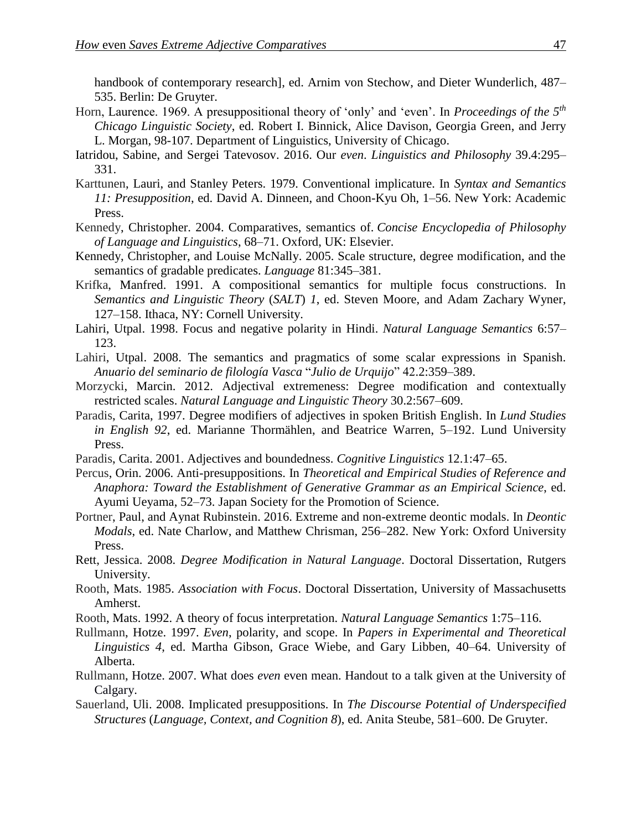handbook of contemporary research], ed. Arnim von Stechow, and Dieter Wunderlich, 487– 535. Berlin: De Gruyter.

- Horn, Laurence. 1969. A presuppositional theory of 'only' and 'even'. In *Proceedings of the 5th Chicago Linguistic Society*, ed. Robert I. Binnick, Alice Davison, Georgia Green, and Jerry L. Morgan, 98-107. Department of Linguistics, University of Chicago.
- Iatridou, Sabine, and Sergei Tatevosov. 2016. Our *even*. *Linguistics and Philosophy* 39.4:295– 331.
- Karttunen, Lauri, and Stanley Peters. 1979. Conventional implicature. In *Syntax and Semantics 11: Presupposition*, ed. David A. Dinneen, and Choon-Kyu Oh, 1–56. New York: Academic Press.
- Kennedy, Christopher. 2004. Comparatives, semantics of. *Concise Encyclopedia of Philosophy of Language and Linguistics*, 68–71. Oxford, UK: Elsevier.
- Kennedy, Christopher, and Louise McNally. 2005. Scale structure, degree modification, and the semantics of gradable predicates. *Language* 81:345–381.
- Krifka, Manfred. 1991. A compositional semantics for multiple focus constructions. In *Semantics and Linguistic Theory* (*SALT*) *1*, ed. Steven Moore, and Adam Zachary Wyner, 127–158. Ithaca, NY: Cornell University.
- Lahiri, Utpal. 1998. Focus and negative polarity in Hindi. *Natural Language Semantics* 6:57– 123.
- Lahiri, Utpal. 2008. The semantics and pragmatics of some scalar expressions in Spanish. *Anuario del seminario de filología Vasca* "*Julio de Urquijo*" 42.2:359–389.
- Morzycki, Marcin. 2012. Adjectival extremeness: Degree modification and contextually restricted scales. *Natural Language and Linguistic Theory* 30.2:567–609.
- Paradis, Carita, 1997. Degree modifiers of adjectives in spoken British English. In *Lund Studies in English 92*, ed. Marianne Thormählen, and Beatrice Warren, 5–192. Lund University Press.
- Paradis, Carita. 2001. Adjectives and boundedness. *Cognitive Linguistics* 12.1:47–65.
- Percus, Orin. 2006. Anti-presuppositions. In *Theoretical and Empirical Studies of Reference and Anaphora: Toward the Establishment of Generative Grammar as an Empirical Science*, ed. Ayumi Ueyama, 52–73. Japan Society for the Promotion of Science.
- Portner, Paul, and Aynat Rubinstein. 2016. Extreme and non-extreme deontic modals. In *Deontic Modals*, ed. Nate Charlow, and Matthew Chrisman, 256–282. New York: Oxford University Press.
- Rett, Jessica. 2008. *Degree Modification in Natural Language*. Doctoral Dissertation, Rutgers University.
- Rooth, Mats. 1985. *Association with Focus*. Doctoral Dissertation, University of Massachusetts Amherst.
- Rooth, Mats. 1992. A theory of focus interpretation. *Natural Language Semantics* 1:75–116.
- Rullmann, Hotze. 1997. *Even*, polarity, and scope. In *Papers in Experimental and Theoretical Linguistics 4*, ed. Martha Gibson, Grace Wiebe, and Gary Libben, 40–64. University of Alberta.
- Rullmann, Hotze. 2007. What does *even* even mean. Handout to a talk given at the University of Calgary.
- Sauerland, Uli. 2008. Implicated presuppositions. In *The Discourse Potential of Underspecified Structures* (*Language, Context, and Cognition 8*), ed. Anita Steube, 581–600. De Gruyter.